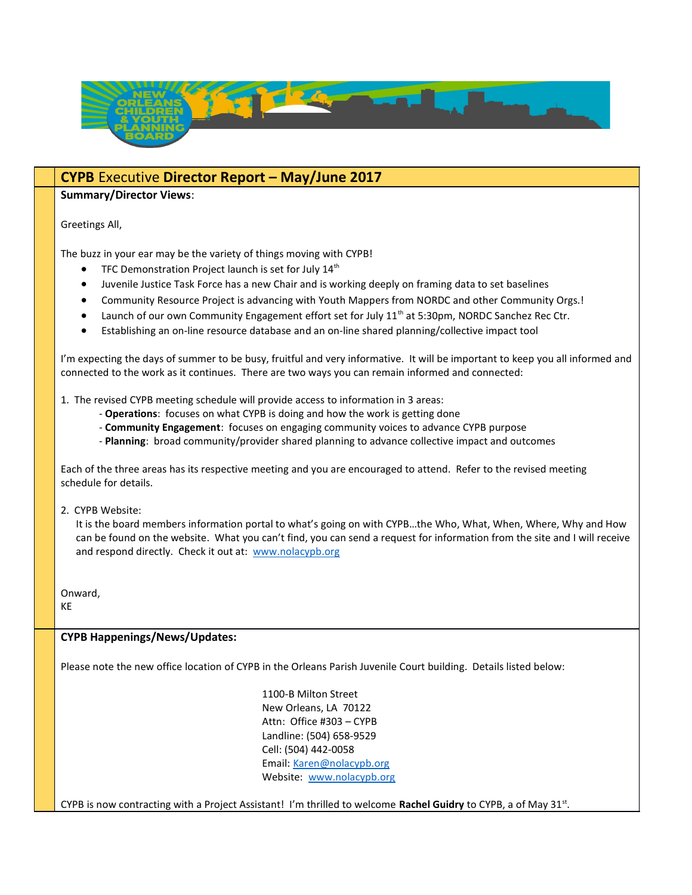

## CYPB Executive Director Report – May/June 2017

### Summary/Director Views:

Greetings All,

The buzz in your ear may be the variety of things moving with CYPB!

- **•** TFC Demonstration Project launch is set for July  $14<sup>th</sup>$
- Juvenile Justice Task Force has a new Chair and is working deeply on framing data to set baselines
- Community Resource Project is advancing with Youth Mappers from NORDC and other Community Orgs.!
- Launch of our own Community Engagement effort set for July  $11<sup>th</sup>$  at 5:30pm, NORDC Sanchez Rec Ctr.
- Establishing an on-line resource database and an on-line shared planning/collective impact tool

I'm expecting the days of summer to be busy, fruitful and very informative. It will be important to keep you all informed and connected to the work as it continues. There are two ways you can remain informed and connected:

- 1. The revised CYPB meeting schedule will provide access to information in 3 areas:
	- Operations: focuses on what CYPB is doing and how the work is getting done
	- Community Engagement: focuses on engaging community voices to advance CYPB purpose
	- Planning: broad community/provider shared planning to advance collective impact and outcomes

Each of the three areas has its respective meeting and you are encouraged to attend. Refer to the revised meeting schedule for details.

2. CYPB Website:

 It is the board members information portal to what's going on with CYPB…the Who, What, When, Where, Why and How can be found on the website. What you can't find, you can send a request for information from the site and I will receive and respond directly. Check it out at: www.nolacypb.org

Onward,

KE

#### CYPB Happenings/News/Updates:

Please note the new office location of CYPB in the Orleans Parish Juvenile Court building. Details listed below:

 1100-B Milton Street New Orleans, LA 70122 Attn: Office #303 – CYPB Landline: (504) 658-9529 Cell: (504) 442-0058 Email: Karen@nolacypb.org Website: www.nolacypb.org

CYPB is now contracting with a Project Assistant! I'm thrilled to welcome Rachel Guidry to CYPB, a of May 31<sup>st</sup>.